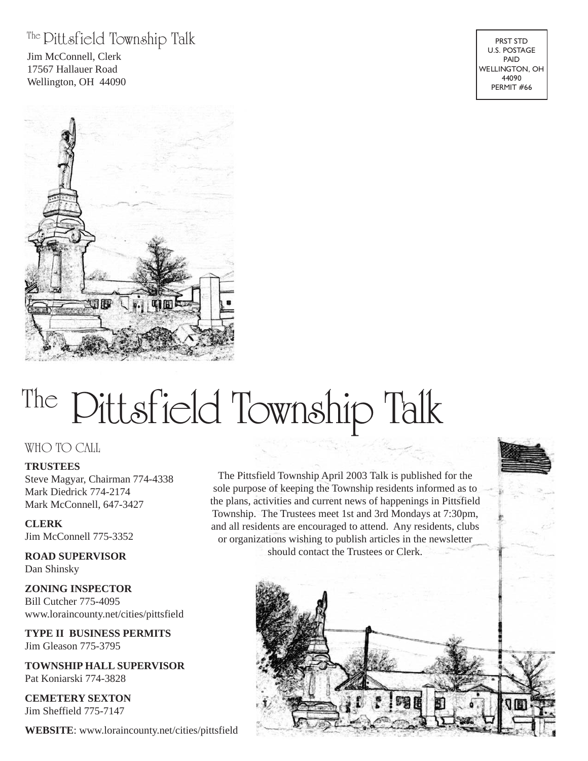#### The Pittsfield Township Talk

Jim McConnell, Clerk 17567 Hallauer Road Wellington, OH 44090

# The Pittsfield Township Talk

#### WHO TO CALL

#### **TRUSTEES**

Steve Magyar, Chairman 774-4338 Mark Diedrick 774-2174 Mark McConnell, 647-3427

#### **CLERK** Jim McConnell 775-3352

**ROAD SUPERVISOR** Dan Shinsky

**ZONING INSPECTOR** Bill Cutcher 775-4095 www.loraincounty.net/cities/pittsfield

**TYPE II BUSINESS PERMITS** Jim Gleason 775-3795

**TOWNSHIP HALL SUPERVISOR** Pat Koniarski 774-3828

**CEMETERY SEXTON** Jim Sheffield 775-7147

**WEBSITE**: www.loraincounty.net/cities/pittsfield

The Pittsfield Township April 2003 Talk is published for the sole purpose of keeping the Township residents informed as to the plans, activities and current news of happenings in Pittsfield Township. The Trustees meet 1st and 3rd Mondays at 7:30pm, and all residents are encouraged to attend. Any residents, clubs or organizations wishing to publish articles in the newsletter should contact the Trustees or Clerk.



PRST STD U.S. POSTAGE PAID WELLINGTON, OH 44090 PERMIT #66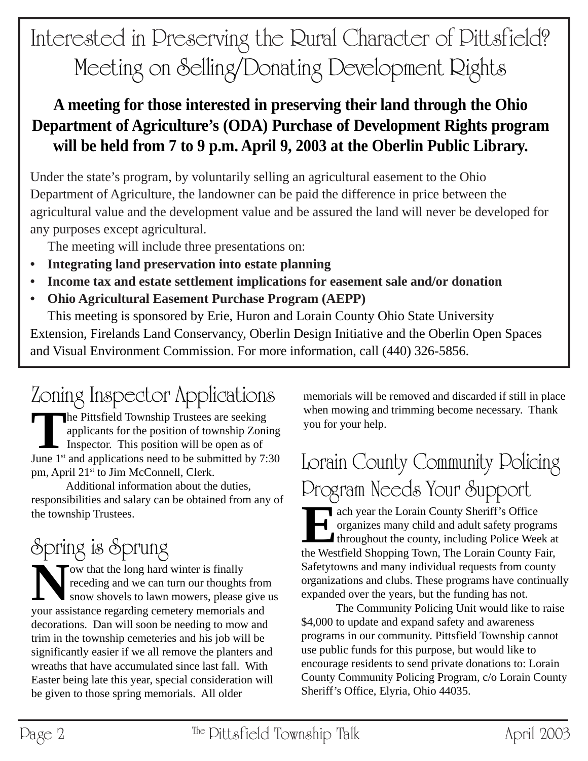## Interested in Preserving the Rural Character of Pittsfield? Meeting on Selling/Donating Development Rights

### **A meeting for those interested in preserving their land through the Ohio Department of Agriculture's (ODA) Purchase of Development Rights program will be held from 7 to 9 p.m. April 9, 2003 at the Oberlin Public Library.**

Under the state's program, by voluntarily selling an agricultural easement to the Ohio Department of Agriculture, the landowner can be paid the difference in price between the agricultural value and the development value and be assured the land will never be developed for any purposes except agricultural.

The meeting will include three presentations on:

- **Integrating land preservation into estate planning**
- **Income tax and estate settlement implications for easement sale and/or donation**
- **• Ohio Agricultural Easement Purchase Program (AEPP)**

This meeting is sponsored by Erie, Huron and Lorain County Ohio State University Extension, Firelands Land Conservancy, Oberlin Design Initiative and the Oberlin Open Spaces and Visual Environment Commission. For more information, call (440) 326-5856.

## Zoning Inspector Applications

**T**he Pittsfield Township Trustees are seeking applicants for the position of township Zoning Inspector. This position will be open as of June  $1<sup>st</sup>$  and applications need to be submitted by 7:30 pm, April 21<sup>st</sup> to Jim McConnell, Clerk.

Additional information about the duties, responsibilities and salary can be obtained from any of the township Trustees.

## Spring is Sprung

Now that the long hard winter is finally<br>receding and we can turn our thoughts<br>snow shovels to lawn mowers, please receding and we can turn our thoughts from snow shovels to lawn mowers, please give us your assistance regarding cemetery memorials and decorations. Dan will soon be needing to mow and trim in the township cemeteries and his job will be significantly easier if we all remove the planters and wreaths that have accumulated since last fall. With Easter being late this year, special consideration will be given to those spring memorials. All older

memorials will be removed and discarded if still in place when mowing and trimming become necessary. Thank you for your help.

### Lorain County Community Policing Program Needs Your Support

**Each year the Lorain County Sheriff's Office** organizes many child and adult safety programs **throughout the county, including Police Week at** the Westfield Shopping Town, The Lorain County Fair, Safetytowns and many individual requests from county organizations and clubs. These programs have continually expanded over the years, but the funding has not.

The Community Policing Unit would like to raise \$4,000 to update and expand safety and awareness programs in our community. Pittsfield Township cannot use public funds for this purpose, but would like to encourage residents to send private donations to: Lorain County Community Policing Program, c/o Lorain County Sheriff's Office, Elyria, Ohio 44035.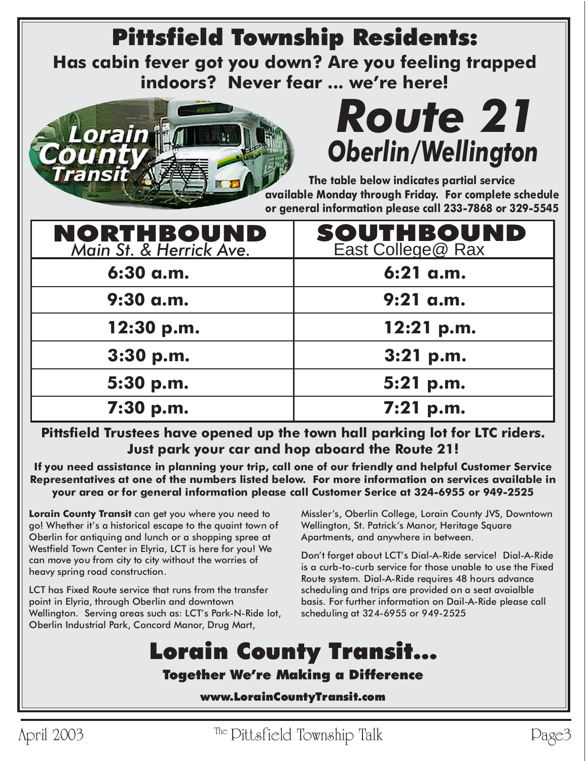## Pittsfield Township Residents:

**Has cabin fever got you down? Are you feeling trapped indoors? Never fear ... we're here!**



## *Route 21 Oberlin/Wellington*

**The table below indicates partial service available Monday through Friday. For complete schedule or general information please call 233-7868 or 329-5545**

| <b>NORTHBOUND</b><br>Main St. & Herrick Ave. | <b>SOUTHBOUND</b><br>East College@ Rax |
|----------------------------------------------|----------------------------------------|
| 6:30 a.m.                                    | $6:21$ a.m.                            |
| 9:30 a.m.                                    | $9:21$ a.m.                            |
| 12:30 p.m.                                   | 12:21 p.m.                             |
| 3:30 p.m.                                    | $3:21$ p.m.                            |
| 5:30 p.m.                                    | 5:21 p.m.                              |
| 7:30 p.m.                                    | $7:21$ p.m.                            |

**Pittsfield Trustees have opened up the town hall parking lot for LTC riders. Just park your car and hop aboard the Route 21!**

**If you need assistance in planning your trip, call one of our friendly and helpful Customer Service Representatives at one of the numbers listed below. For more information on services available in your area or for general information please call Customer Serice at 324-6955 or 949-2525**

**Lorain County Transit** can get you where you need to go! Whether it's a historical escape to the quaint town of Oberlin for antiquing and lunch or a shopping spree at Westfield Town Center in Elyria, LCT is here for you! We can move you from city to city without the worries of heavy spring road construction.

LCT has Fixed Route service that runs from the transfer point in Elyria, through Oberlin and downtown Wellington. Serving areas such as: LCT's Park-N-Ride lot, Oberlin Industrial Park, Concord Manor, Drug Mart,

Missler's, Oberlin College, Lorain County JVS, Downtown Wellington, St. Patrick's Manor, Heritage Square Apartments, and anywhere in between.

Don't forget about LCT's Dial-A-Ride service! Dial-A-Ride is a curb-to-curb service for those unable to use the Fixed Route system. Dial-A-Ride requires 48 hours advance scheduling and trips are provided on a seat avaialble basis. For further information on Dail-A-Ride please call scheduling at 324-6955 or 949-2525

## Lorain County Transit...

#### Together We're Making a Difference

www.LorainCountyTransit.com

April 2003 The Pittsfield Township Talk Page3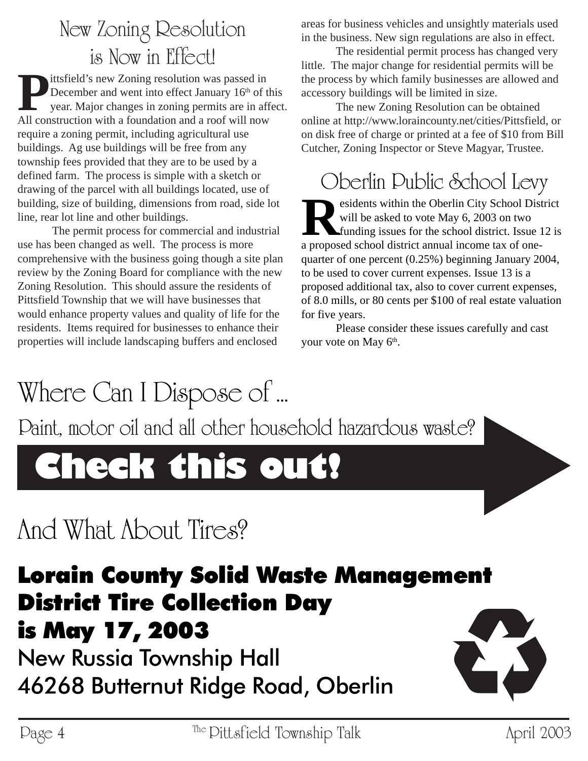### New Zoning Resolution is Now in Effect!

Ittsfield's new Zoning resolution was passed in<br>December and went into effect January 16<sup>th</sup> of<br>year. Major changes in zoning permits are in at<br>All construction with a foundation and a roof will now December and went into effect January 16<sup>th</sup> of this year. Major changes in zoning permits are in affect. All construction with a foundation and a roof will now require a zoning permit, including agricultural use buildings. Ag use buildings will be free from any township fees provided that they are to be used by a defined farm. The process is simple with a sketch or drawing of the parcel with all buildings located, use of building, size of building, dimensions from road, side lot line, rear lot line and other buildings.

The permit process for commercial and industrial use has been changed as well. The process is more comprehensive with the business going though a site plan review by the Zoning Board for compliance with the new Zoning Resolution. This should assure the residents of Pittsfield Township that we will have businesses that would enhance property values and quality of life for the residents. Items required for businesses to enhance their properties will include landscaping buffers and enclosed

areas for business vehicles and unsightly materials used in the business. New sign regulations are also in effect.

The residential permit process has changed very little. The major change for residential permits will be the process by which family businesses are allowed and accessory buildings will be limited in size.

The new Zoning Resolution can be obtained online at http://www.loraincounty.net/cities/Pittsfield, or on disk free of charge or printed at a fee of \$10 from Bill Cutcher, Zoning Inspector or Steve Magyar, Trustee.

### Oberlin Public School Levy

**R**esidents within the Oberlin City School District will be asked to vote May 6, 2003 on two funding issues for the school district. Issue 12 is a proposed school district annual income tax of onequarter of one percent (0.25%) beginning January 2004, to be used to cover current expenses. Issue 13 is a proposed additional tax, also to cover current expenses, of 8.0 mills, or 80 cents per \$100 of real estate valuation for five years.

Please consider these issues carefully and cast your vote on May  $6<sup>th</sup>$ .

## Where Can I Dispose of ...

Paint, motor oil and all other household hazardous waste?

## **Check this out!**

## And What About Tires?

### Lorain County Solid Waste Management District Tire Collection Day is May 17, 2003

New Russia Township Hall 46268 Butternut Ridge Road, Oberlin

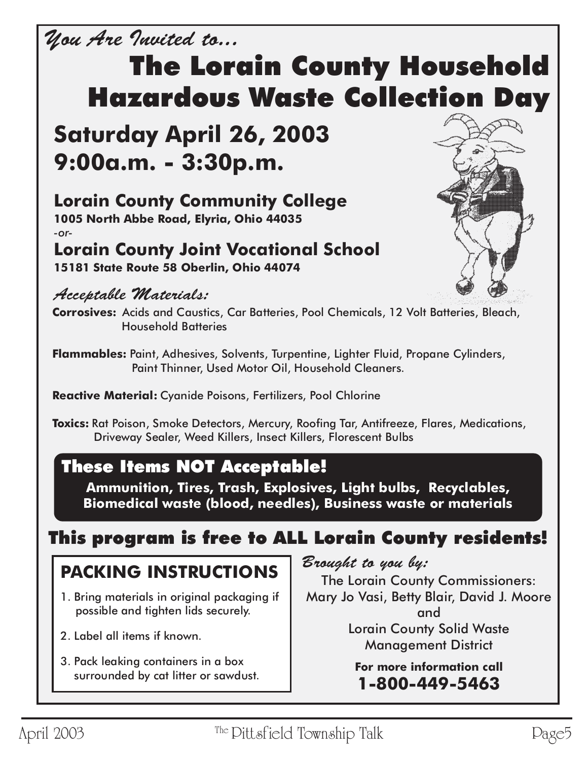### You Are Invited to...

## The Lorain County Household Hazardous Waste Collection Day

### **Saturday April 26, 2003 9:00a.m. - 3:30p.m.**

### **Lorain County Community College**

**1005 North Abbe Road, Elyria, Ohio 44035** *-or-*

#### **Lorain County Joint Vocational School 15181 State Route 58 Oberlin, Ohio 44074**

#### Acceptable Materials:



**Corrosives:** Acids and Caustics, Car Batteries, Pool Chemicals, 12 Volt Batteries, Bleach, Household Batteries

**Flammables:** Paint, Adhesives, Solvents, Turpentine, Lighter Fluid, Propane Cylinders, Paint Thinner, Used Motor Oil, Household Cleaners.

**Reactive Material:** Cyanide Poisons, Fertilizers, Pool Chlorine

**Toxics:** Rat Poison, Smoke Detectors, Mercury, Roofing Tar, Antifreeze, Flares, Medications, Driveway Sealer, Weed Killers, Insect Killers, Florescent Bulbs

### These Items NOT Acceptable!

**Ammunition, Tires, Trash, Explosives, Light bulbs, Recyclables, Biomedical waste (blood, needles), Business waste or materials**

### This program is free to ALL Lorain County residents!

### **PACKING INSTRUCTIONS**

- 1. Bring materials in original packaging if possible and tighten lids securely.
- 2. Label all items if known.
- 3. Pack leaking containers in a box surrounded by cat litter or sawdust.

Brought to you by:

The Lorain County Commissioners: Mary Jo Vasi, Betty Blair, David J. Moore and Lorain County Solid Waste Management District

> **For more information call 1-800-449-5463**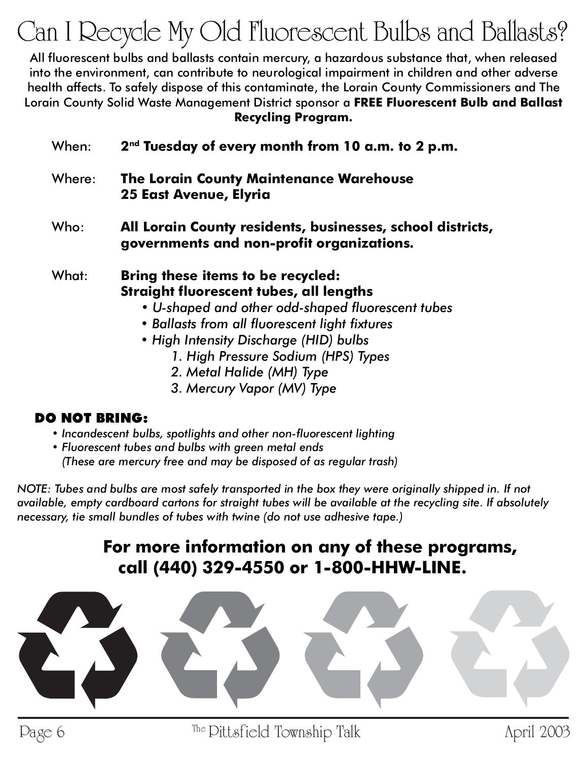## Can I Recycle My Old Fluorescent Bulbs and Ballasts?

All fluorescent bulbs and ballasts contain mercury, a hazardous substance that, when released into the environment, can contribute to neurological impairment in children and other adverse health affects. To safely dispose of this contaminate, the Lorain County Commissioners and The Lorain County Solid Waste Management District sponsor a **FREE Fluorescent Bulb and Ballast Recycling Program.**

| When:  | 2 <sup>nd</sup> Tuesday of every month from 10 a.m. to 2 p.m.                                                                                                                              |
|--------|--------------------------------------------------------------------------------------------------------------------------------------------------------------------------------------------|
| Where: | <b>The Lorain County Maintenance Warehouse</b><br><b>25 East Avenue, Elyria</b>                                                                                                            |
| Who:   | All Lorain County residents, businesses, school districts,<br>governments and non-profit organizations.                                                                                    |
| What:  | <b>Bring these items to be recycled:</b><br>Straight fluorescent tubes, all lengths<br>• U-shaped and other odd-shaped fluorescent tubes<br>• Ballasts from all fluorescent light fixtures |

- *High Intensity Discharge (HID) bulbs*
	- *1. High Pressure Sodium (HPS) Types*
	- *2. Metal Halide (MH) Type*
	- *3. Mercury Vapor (MV) Type*

#### DO NOT BRING:

- *Incandescent bulbs, spotlights and other non-fluorescent lighting*
- *Fluorescent tubes and bulbs with green metal ends (These are mercury free and may be disposed of as regular trash)*

*NOTE: Tubes and bulbs are most safely transported in the box they were originally shipped in. If not available, empty cardboard cartons for straight tubes will be available at the recycling site. If absolutely necessary, tie small bundles of tubes with twine (do not use adhesive tape.)*

### **For more information on any of these programs, call (440) 329-4550 or 1-800-HHW-LINE.**

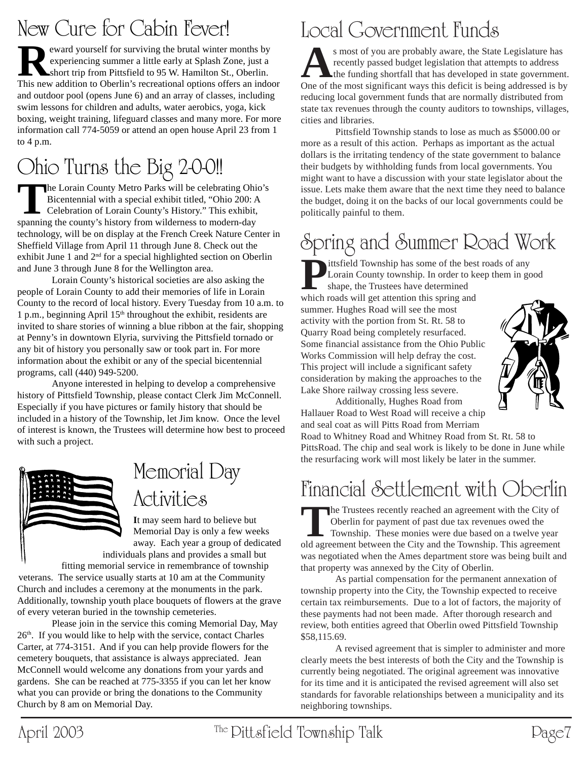### New Cure for Cabin Fever!

**Reward yourself for surviving the brutal winter months by experiencing summer a little early at Splash Zone, just a short trip from Pittsfield to 95 W. Hamilton St., Oberlin.<br>This new addition to Oberlin's recreational op** experiencing summer a little early at Splash Zone, just a This new addition to Oberlin's recreational options offers an indoor and outdoor pool (opens June 6) and an array of classes, including swim lessons for children and adults, water aerobics, yoga, kick boxing, weight training, lifeguard classes and many more. For more information call 774-5059 or attend an open house April 23 from 1 to 4 p.m.

## Ohio Turns the Big 2-0-0!!

The Lorain County Metro Parks will be celebrating Ohio's<br>
Bicentennial with a special exhibit titled, "Ohio 200: A<br>
Celebration of Lorain County's History." This exhibit,<br>
spanning the county's history from wilderness to m Bicentennial with a special exhibit titled, "Ohio 200: A spanning the county's history from wilderness to modern-day technology, will be on display at the French Creek Nature Center in Sheffield Village from April 11 through June 8. Check out the exhibit June 1 and  $2<sup>nd</sup>$  for a special highlighted section on Oberlin and June 3 through June 8 for the Wellington area.

Lorain County's historical societies are also asking the people of Lorain County to add their memories of life in Lorain County to the record of local history. Every Tuesday from 10 a.m. to 1 p.m., beginning April  $15<sup>th</sup>$  throughout the exhibit, residents are invited to share stories of winning a blue ribbon at the fair, shopping at Penny's in downtown Elyria, surviving the Pittsfield tornado or any bit of history you personally saw or took part in. For more information about the exhibit or any of the special bicentennial programs, call (440) 949-5200.

Anyone interested in helping to develop a comprehensive history of Pittsfield Township, please contact Clerk Jim McConnell. Especially if you have pictures or family history that should be included in a history of the Township, let Jim know. Once the level of interest is known, the Trustees will determine how best to proceed with such a project.



### Memorial Day **Activities**

**I**t may seem hard to believe but Memorial Day is only a few weeks away. Each year a group of dedicated

individuals plans and provides a small but fitting memorial service in remembrance of township

veterans. The service usually starts at 10 am at the Community Church and includes a ceremony at the monuments in the park. Additionally, township youth place bouquets of flowers at the grave of every veteran buried in the township cemeteries.

Please join in the service this coming Memorial Day, May 26<sup>th</sup>. If you would like to help with the service, contact Charles Carter, at 774-3151. And if you can help provide flowers for the cemetery bouquets, that assistance is always appreciated. Jean McConnell would welcome any donations from your yards and gardens. She can be reached at 775-3355 if you can let her know what you can provide or bring the donations to the Community Church by 8 am on Memorial Day.

## Local Government Funds

s most of you are probably aware, the State Legislature has<br>recently passed budget legislation that attempts to address<br>the funding shortfall that has developed in state government.<br>One of the most significant ways this de recently passed budget legislation that attempts to address One of the most significant ways this deficit is being addressed is by reducing local government funds that are normally distributed from state tax revenues through the county auditors to townships, villages, cities and libraries.

Pittsfield Township stands to lose as much as \$5000.00 or more as a result of this action. Perhaps as important as the actual dollars is the irritating tendency of the state government to balance their budgets by withholding funds from local governments. You might want to have a discussion with your state legislator about the issue. Lets make them aware that the next time they need to balance the budget, doing it on the backs of our local governments could be politically painful to them.

## Spring and Summer Road Work

**P**ittsfield Township has some of the best roads of any Lorain County township. In order to keep them in good shape, the Trustees have determined which roads will get attention this spring and summer. Hughes Road will see the most activity with the portion from St. Rt. 58 to Quarry Road being completely resurfaced. Some financial assistance from the Ohio Public Works Commission will help defray the cost. This project will include a significant safety consideration by making the approaches to the Lake Shore railway crossing less severe.



Additionally, Hughes Road from Hallauer Road to West Road will receive a chip and seal coat as will Pitts Road from Merriam

Road to Whitney Road and Whitney Road from St. Rt. 58 to PittsRoad. The chip and seal work is likely to be done in June while the resurfacing work will most likely be later in the summer.

### Financial Settlement with Oberlin

The Trustees recently reached an agreement with the City of Oberlin for payment of past due tax revenues owed the Township. These monies were due based on a twelve year old agreement between the City and the Township. This Oberlin for payment of past due tax revenues owed the old agreement between the City and the Township. This agreement was negotiated when the Ames department store was being built and that property was annexed by the City of Oberlin.

As partial compensation for the permanent annexation of township property into the City, the Township expected to receive certain tax reimbursements. Due to a lot of factors, the majority of these payments had not been made. After thorough research and review, both entities agreed that Oberlin owed Pittsfield Township \$58,115.69.

A revised agreement that is simpler to administer and more clearly meets the best interests of both the City and the Township is currently being negotiated. The original agreement was innovative for its time and it is anticipated the revised agreement will also set standards for favorable relationships between a municipality and its neighboring townships.